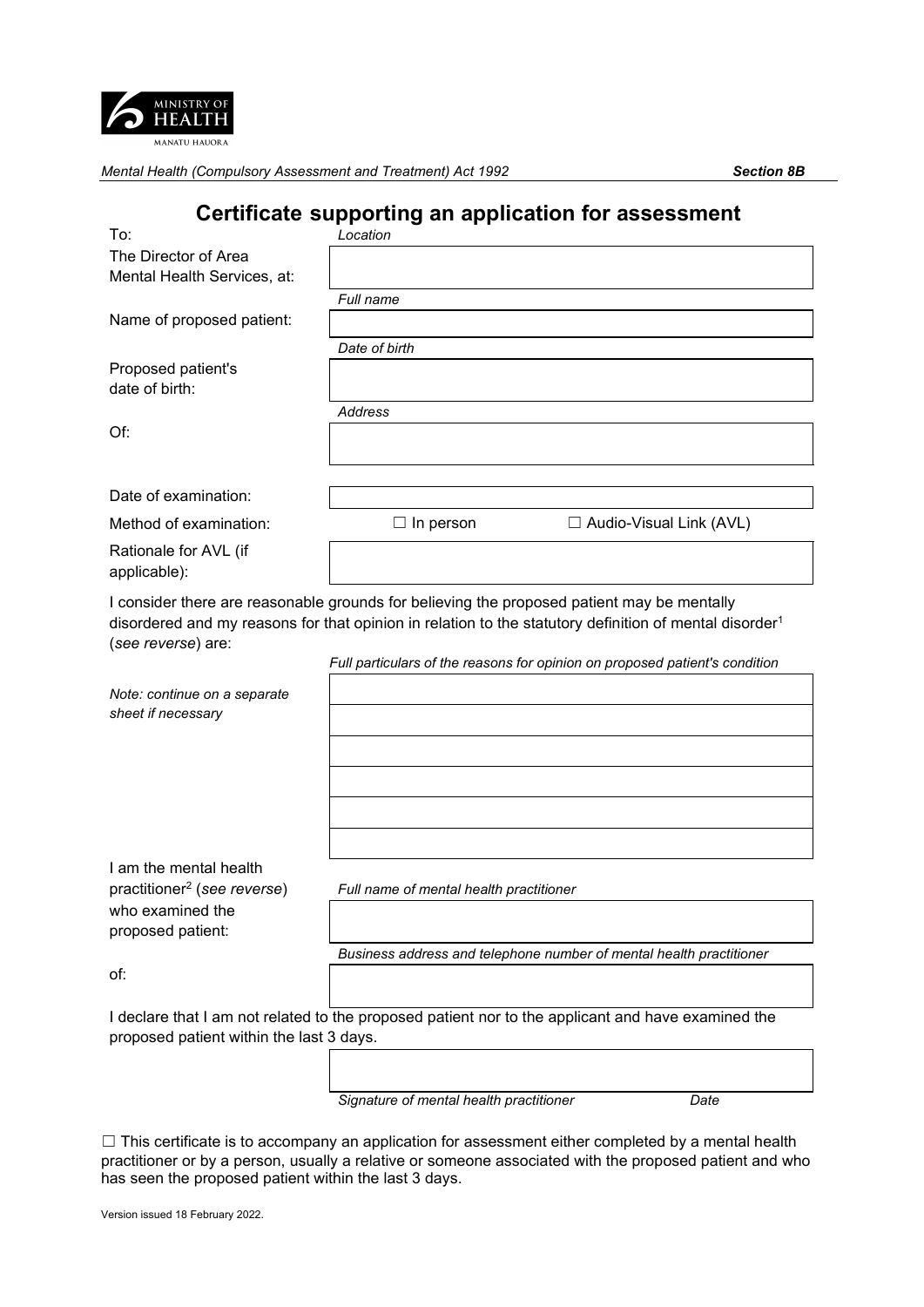

# **Certificate supporting an application for assessment**

| To:                                                               | Location                                                                                                                                                                                                                                                                                        |
|-------------------------------------------------------------------|-------------------------------------------------------------------------------------------------------------------------------------------------------------------------------------------------------------------------------------------------------------------------------------------------|
| The Director of Area                                              |                                                                                                                                                                                                                                                                                                 |
| Mental Health Services, at:                                       |                                                                                                                                                                                                                                                                                                 |
|                                                                   | Full name                                                                                                                                                                                                                                                                                       |
| Name of proposed patient:                                         |                                                                                                                                                                                                                                                                                                 |
|                                                                   | Date of birth                                                                                                                                                                                                                                                                                   |
| Proposed patient's                                                |                                                                                                                                                                                                                                                                                                 |
| date of birth:                                                    |                                                                                                                                                                                                                                                                                                 |
|                                                                   | <b>Address</b>                                                                                                                                                                                                                                                                                  |
| Of:                                                               |                                                                                                                                                                                                                                                                                                 |
| Date of examination:                                              |                                                                                                                                                                                                                                                                                                 |
| Method of examination:                                            | □ Audio-Visual Link (AVL)<br>$\Box$ In person                                                                                                                                                                                                                                                   |
| Rationale for AVL (if<br>applicable):                             |                                                                                                                                                                                                                                                                                                 |
| (see reverse) are:                                                | I consider there are reasonable grounds for believing the proposed patient may be mentally<br>disordered and my reasons for that opinion in relation to the statutory definition of mental disorder <sup>1</sup><br>Full particulars of the reasons for opinion on proposed patient's condition |
|                                                                   |                                                                                                                                                                                                                                                                                                 |
| Note: continue on a separate<br>sheet if necessary                |                                                                                                                                                                                                                                                                                                 |
|                                                                   |                                                                                                                                                                                                                                                                                                 |
|                                                                   |                                                                                                                                                                                                                                                                                                 |
|                                                                   |                                                                                                                                                                                                                                                                                                 |
| I am the mental health<br>practitioner <sup>2</sup> (see reverse) | Full name of mental health practitioner                                                                                                                                                                                                                                                         |
| who examined the<br>proposed patient:                             |                                                                                                                                                                                                                                                                                                 |
|                                                                   | Business address and telephone number of mental health practitioner                                                                                                                                                                                                                             |
| of:                                                               |                                                                                                                                                                                                                                                                                                 |
| proposed patient within the last 3 days.                          | I declare that I am not related to the proposed patient nor to the applicant and have examined the                                                                                                                                                                                              |
|                                                                   |                                                                                                                                                                                                                                                                                                 |

*Signature of mental health practitioner Date*

 $\Box$  This certificate is to accompany an application for assessment either completed by a mental health practitioner or by a person, usually a relative or someone associated with the proposed patient and who has seen the proposed patient within the last 3 days.